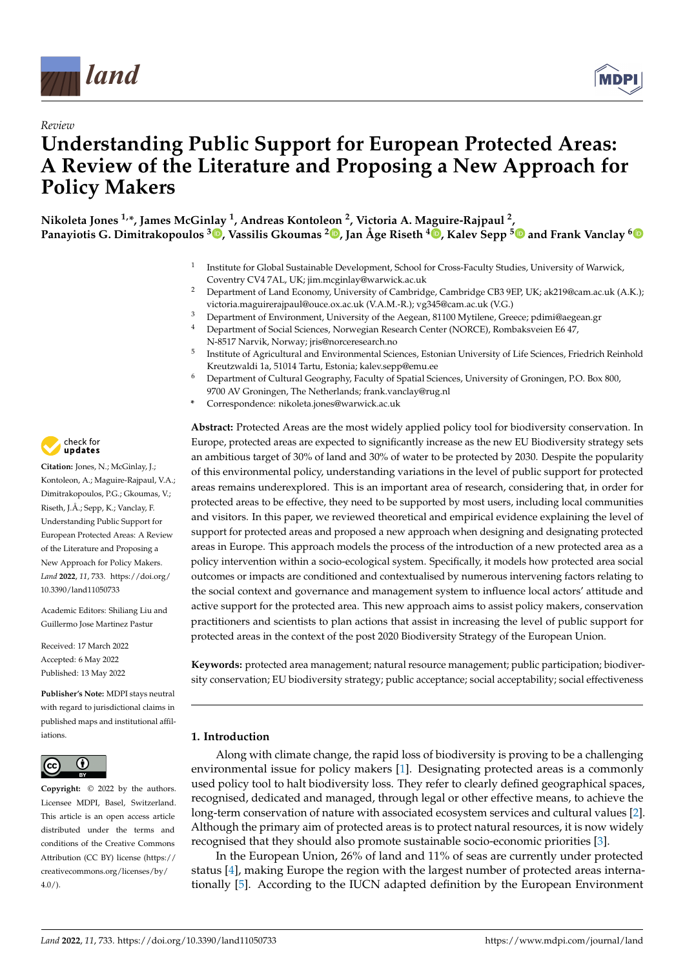



# *Review* **Understanding Public Support for European Protected Areas: A Review of the Literature and Proposing a New Approach for Policy Makers**

**Nikoleta Jones 1,\*, James McGi[nlay](https://orcid.org/0000-0002-8374-4392) <sup>1</sup> , Andreas Kontoleon <sup>2</sup> , Victoria A. Maguire-Rajpaul <sup>2</sup> , Panayiotis G. Dimitrakopoulos <sup>3</sup> , Vassilis Gkoumas <sup>2</sup> [,](https://orcid.org/0000-0002-0501-7392) Jan Åge Riseth <sup>4</sup> [,](https://orcid.org/0000-0003-4120-7772) Kalev Sepp [5](https://orcid.org/0000-0002-8076-7943) and Frank Vanclay [6](https://orcid.org/0000-0002-9945-6432)**

- 1 Institute for Global Sustainable Development, School for Cross-Faculty Studies, University of Warwick, Coventry CV4 7AL, UK; jim.mcginlay@warwick.ac.uk
- <sup>2</sup> Department of Land Economy, University of Cambridge, Cambridge CB3 9EP, UK; ak219@cam.ac.uk (A.K.); victoria.maguirerajpaul@ouce.ox.ac.uk (V.A.M.-R.); vg345@cam.ac.uk (V.G.)
- <sup>3</sup> Department of Environment, University of the Aegean, 81100 Mytilene, Greece; pdimi@aegean.gr<br><sup>4</sup> Department of Gasial Sciences, Newsasian Beacault Center (NOBCE), Benthalamsian E6.47
- <sup>4</sup> Department of Social Sciences, Norwegian Research Center (NORCE), Rombaksveien E6 47, N-8517 Narvik, Norway; jris@norceresearch.no
- 5 Institute of Agricultural and Environmental Sciences, Estonian University of Life Sciences, Friedrich Reinhold Kreutzwaldi 1a, 51014 Tartu, Estonia; kalev.sepp@emu.ee
- <sup>6</sup> Department of Cultural Geography, Faculty of Spatial Sciences, University of Groningen, P.O. Box 800, 9700 AV Groningen, The Netherlands; frank.vanclay@rug.nl
- **\*** Correspondence: nikoleta.jones@warwick.ac.uk

**Abstract:** Protected Areas are the most widely applied policy tool for biodiversity conservation. In Europe, protected areas are expected to significantly increase as the new EU Biodiversity strategy sets an ambitious target of 30% of land and 30% of water to be protected by 2030. Despite the popularity of this environmental policy, understanding variations in the level of public support for protected areas remains underexplored. This is an important area of research, considering that, in order for protected areas to be effective, they need to be supported by most users, including local communities and visitors. In this paper, we reviewed theoretical and empirical evidence explaining the level of support for protected areas and proposed a new approach when designing and designating protected areas in Europe. This approach models the process of the introduction of a new protected area as a policy intervention within a socio-ecological system. Specifically, it models how protected area social outcomes or impacts are conditioned and contextualised by numerous intervening factors relating to the social context and governance and management system to influence local actors' attitude and active support for the protected area. This new approach aims to assist policy makers, conservation practitioners and scientists to plan actions that assist in increasing the level of public support for protected areas in the context of the post 2020 Biodiversity Strategy of the European Union.

**Keywords:** protected area management; natural resource management; public participation; biodiversity conservation; EU biodiversity strategy; public acceptance; social acceptability; social effectiveness

### **1. Introduction**

Along with climate change, the rapid loss of biodiversity is proving to be a challenging environmental issue for policy makers [\[1\]](#page-10-0). Designating protected areas is a commonly used policy tool to halt biodiversity loss. They refer to clearly defined geographical spaces, recognised, dedicated and managed, through legal or other effective means, to achieve the long-term conservation of nature with associated ecosystem services and cultural values [\[2\]](#page-10-1). Although the primary aim of protected areas is to protect natural resources, it is now widely recognised that they should also promote sustainable socio-economic priorities [\[3\]](#page-10-2).

In the European Union, 26% of land and 11% of seas are currently under protected status [\[4\]](#page-10-3), making Europe the region with the largest number of protected areas internationally [\[5\]](#page-10-4). According to the IUCN adapted definition by the European Environment



**Citation:** Jones, N.; McGinlay, J.; Kontoleon, A.; Maguire-Rajpaul, V.A.; Dimitrakopoulos, P.G.; Gkoumas, V.; Riseth, J.Å.; Sepp, K.; Vanclay, F. Understanding Public Support for European Protected Areas: A Review of the Literature and Proposing a New Approach for Policy Makers. *Land* **2022**, *11*, 733. [https://doi.org/](https://doi.org/10.3390/land11050733) [10.3390/land11050733](https://doi.org/10.3390/land11050733)

Academic Editors: Shiliang Liu and Guillermo Jose Martinez Pastur

Received: 17 March 2022 Accepted: 6 May 2022 Published: 13 May 2022

**Publisher's Note:** MDPI stays neutral with regard to jurisdictional claims in published maps and institutional affiliations.



**Copyright:** © 2022 by the authors. Licensee MDPI, Basel, Switzerland. This article is an open access article distributed under the terms and conditions of the Creative Commons Attribution (CC BY) license [\(https://](https://creativecommons.org/licenses/by/4.0/) [creativecommons.org/licenses/by/](https://creativecommons.org/licenses/by/4.0/)  $4.0/$ ).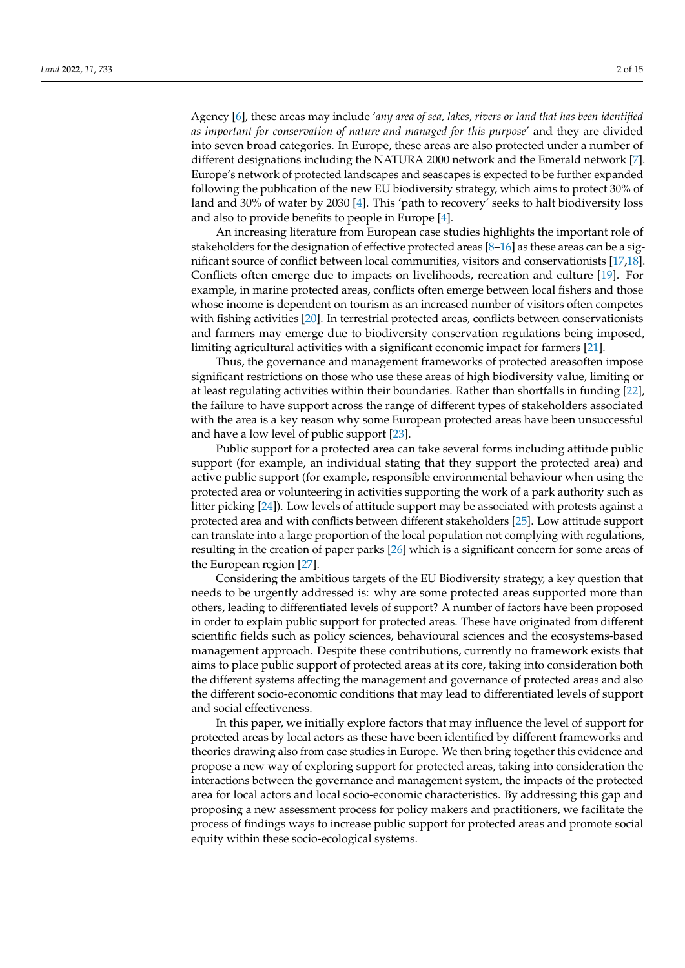Agency [\[6\]](#page-10-5), these areas may include '*any area of sea, lakes, rivers or land that has been identified as important for conservation of nature and managed for this purpose*' and they are divided into seven broad categories. In Europe, these areas are also protected under a number of different designations including the NATURA 2000 network and the Emerald network [\[7\]](#page-10-6). Europe's network of protected landscapes and seascapes is expected to be further expanded following the publication of the new EU biodiversity strategy, which aims to protect 30% of land and 30% of water by 2030 [\[4\]](#page-10-3). This 'path to recovery' seeks to halt biodiversity loss and also to provide benefits to people in Europe [\[4\]](#page-10-3).

An increasing literature from European case studies highlights the important role of stakeholders for the designation of effective protected areas  $[8-16]$  $[8-16]$  as these areas can be a significant source of conflict between local communities, visitors and conservationists [\[17](#page-11-2)[,18\]](#page-11-3). Conflicts often emerge due to impacts on livelihoods, recreation and culture [\[19\]](#page-11-4). For example, in marine protected areas, conflicts often emerge between local fishers and those whose income is dependent on tourism as an increased number of visitors often competes with fishing activities [\[20\]](#page-11-5). In terrestrial protected areas, conflicts between conservationists and farmers may emerge due to biodiversity conservation regulations being imposed, limiting agricultural activities with a significant economic impact for farmers [\[21\]](#page-11-6).

Thus, the governance and management frameworks of protected areasoften impose significant restrictions on those who use these areas of high biodiversity value, limiting or at least regulating activities within their boundaries. Rather than shortfalls in funding [\[22\]](#page-11-7), the failure to have support across the range of different types of stakeholders associated with the area is a key reason why some European protected areas have been unsuccessful and have a low level of public support [\[23\]](#page-11-8).

Public support for a protected area can take several forms including attitude public support (for example, an individual stating that they support the protected area) and active public support (for example, responsible environmental behaviour when using the protected area or volunteering in activities supporting the work of a park authority such as litter picking [\[24\]](#page-11-9)). Low levels of attitude support may be associated with protests against a protected area and with conflicts between different stakeholders [\[25\]](#page-11-10). Low attitude support can translate into a large proportion of the local population not complying with regulations, resulting in the creation of paper parks [\[26\]](#page-11-11) which is a significant concern for some areas of the European region [\[27\]](#page-11-12).

Considering the ambitious targets of the EU Biodiversity strategy, a key question that needs to be urgently addressed is: why are some protected areas supported more than others, leading to differentiated levels of support? A number of factors have been proposed in order to explain public support for protected areas. These have originated from different scientific fields such as policy sciences, behavioural sciences and the ecosystems-based management approach. Despite these contributions, currently no framework exists that aims to place public support of protected areas at its core, taking into consideration both the different systems affecting the management and governance of protected areas and also the different socio-economic conditions that may lead to differentiated levels of support and social effectiveness.

In this paper, we initially explore factors that may influence the level of support for protected areas by local actors as these have been identified by different frameworks and theories drawing also from case studies in Europe. We then bring together this evidence and propose a new way of exploring support for protected areas, taking into consideration the interactions between the governance and management system, the impacts of the protected area for local actors and local socio-economic characteristics. By addressing this gap and proposing a new assessment process for policy makers and practitioners, we facilitate the process of findings ways to increase public support for protected areas and promote social equity within these socio-ecological systems.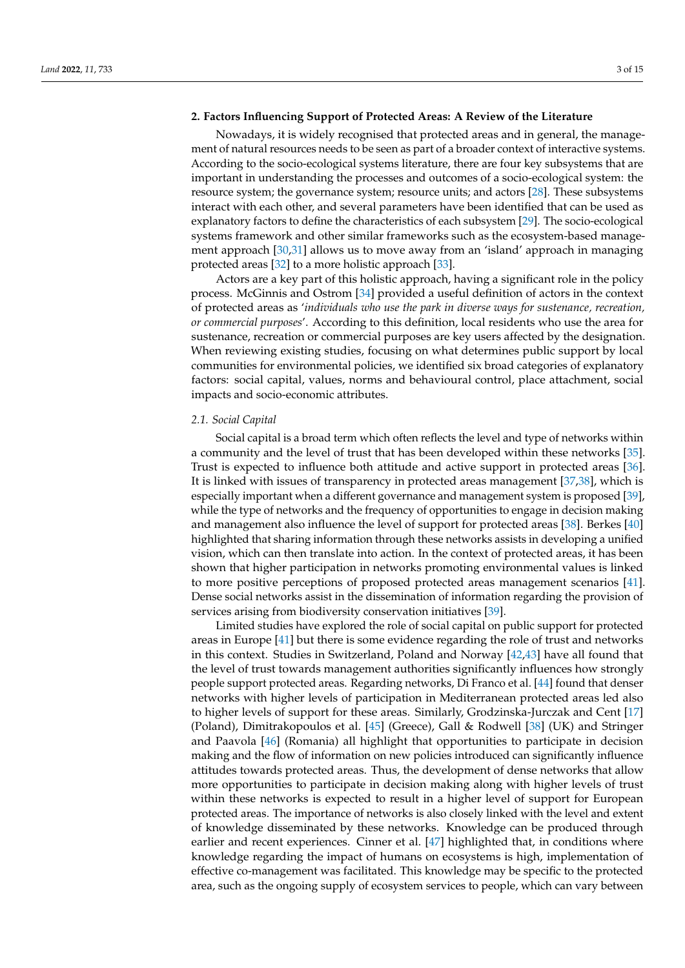#### <span id="page-2-0"></span>**2. Factors Influencing Support of Protected Areas: A Review of the Literature**

Nowadays, it is widely recognised that protected areas and in general, the management of natural resources needs to be seen as part of a broader context of interactive systems. According to the socio-ecological systems literature, there are four key subsystems that are important in understanding the processes and outcomes of a socio-ecological system: the resource system; the governance system; resource units; and actors [\[28\]](#page-11-13). These subsystems interact with each other, and several parameters have been identified that can be used as explanatory factors to define the characteristics of each subsystem [\[29\]](#page-11-14). The socio-ecological systems framework and other similar frameworks such as the ecosystem-based management approach [\[30](#page-11-15)[,31\]](#page-11-16) allows us to move away from an 'island' approach in managing protected areas [\[32\]](#page-11-17) to a more holistic approach [\[33\]](#page-11-18).

Actors are a key part of this holistic approach, having a significant role in the policy process. McGinnis and Ostrom [\[34\]](#page-11-19) provided a useful definition of actors in the context of protected areas as '*individuals who use the park in diverse ways for sustenance, recreation, or commercial purposes*'. According to this definition, local residents who use the area for sustenance, recreation or commercial purposes are key users affected by the designation. When reviewing existing studies, focusing on what determines public support by local communities for environmental policies, we identified six broad categories of explanatory factors: social capital, values, norms and behavioural control, place attachment, social impacts and socio-economic attributes.

#### *2.1. Social Capital*

Social capital is a broad term which often reflects the level and type of networks within a community and the level of trust that has been developed within these networks [\[35\]](#page-11-20). Trust is expected to influence both attitude and active support in protected areas [\[36\]](#page-12-0). It is linked with issues of transparency in protected areas management [\[37](#page-12-1)[,38\]](#page-12-2), which is especially important when a different governance and management system is proposed [\[39\]](#page-12-3), while the type of networks and the frequency of opportunities to engage in decision making and management also influence the level of support for protected areas [\[38\]](#page-12-2). Berkes [\[40\]](#page-12-4) highlighted that sharing information through these networks assists in developing a unified vision, which can then translate into action. In the context of protected areas, it has been shown that higher participation in networks promoting environmental values is linked to more positive perceptions of proposed protected areas management scenarios [\[41\]](#page-12-5). Dense social networks assist in the dissemination of information regarding the provision of services arising from biodiversity conservation initiatives [\[39\]](#page-12-3).

Limited studies have explored the role of social capital on public support for protected areas in Europe [\[41\]](#page-12-5) but there is some evidence regarding the role of trust and networks in this context. Studies in Switzerland, Poland and Norway [\[42,](#page-12-6)[43\]](#page-12-7) have all found that the level of trust towards management authorities significantly influences how strongly people support protected areas. Regarding networks, Di Franco et al. [\[44\]](#page-12-8) found that denser networks with higher levels of participation in Mediterranean protected areas led also to higher levels of support for these areas. Similarly, Grodzinska-Jurczak and Cent [\[17\]](#page-11-2) (Poland), Dimitrakopoulos et al. [\[45\]](#page-12-9) (Greece), Gall & Rodwell [\[38\]](#page-12-2) (UK) and Stringer and Paavola [\[46\]](#page-12-10) (Romania) all highlight that opportunities to participate in decision making and the flow of information on new policies introduced can significantly influence attitudes towards protected areas. Thus, the development of dense networks that allow more opportunities to participate in decision making along with higher levels of trust within these networks is expected to result in a higher level of support for European protected areas. The importance of networks is also closely linked with the level and extent of knowledge disseminated by these networks. Knowledge can be produced through earlier and recent experiences. Cinner et al. [\[47\]](#page-12-11) highlighted that, in conditions where knowledge regarding the impact of humans on ecosystems is high, implementation of effective co-management was facilitated. This knowledge may be specific to the protected area, such as the ongoing supply of ecosystem services to people, which can vary between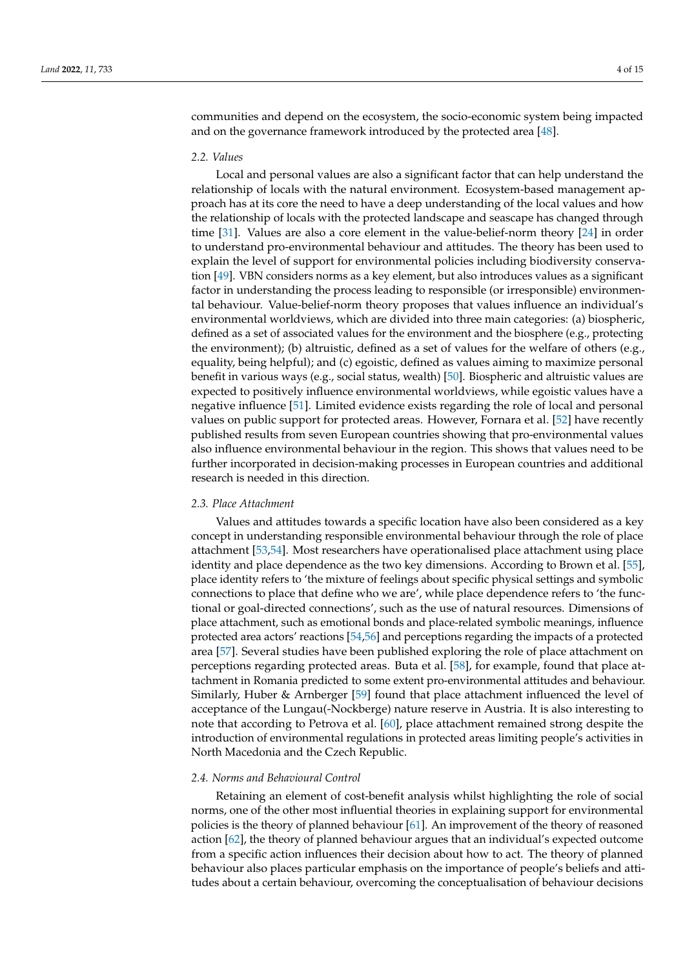communities and depend on the ecosystem, the socio-economic system being impacted and on the governance framework introduced by the protected area [\[48\]](#page-12-12).

#### *2.2. Values*

Local and personal values are also a significant factor that can help understand the relationship of locals with the natural environment. Ecosystem-based management approach has at its core the need to have a deep understanding of the local values and how the relationship of locals with the protected landscape and seascape has changed through time [\[31\]](#page-11-16). Values are also a core element in the value-belief-norm theory [\[24\]](#page-11-9) in order to understand pro-environmental behaviour and attitudes. The theory has been used to explain the level of support for environmental policies including biodiversity conservation [\[49\]](#page-12-13). VBN considers norms as a key element, but also introduces values as a significant factor in understanding the process leading to responsible (or irresponsible) environmental behaviour. Value-belief-norm theory proposes that values influence an individual's environmental worldviews, which are divided into three main categories: (a) biospheric, defined as a set of associated values for the environment and the biosphere (e.g., protecting the environment); (b) altruistic, defined as a set of values for the welfare of others (e.g., equality, being helpful); and (c) egoistic, defined as values aiming to maximize personal benefit in various ways (e.g., social status, wealth) [\[50\]](#page-12-14). Biospheric and altruistic values are expected to positively influence environmental worldviews, while egoistic values have a negative influence [\[51\]](#page-12-15). Limited evidence exists regarding the role of local and personal values on public support for protected areas. However, Fornara et al. [\[52\]](#page-12-16) have recently published results from seven European countries showing that pro-environmental values also influence environmental behaviour in the region. This shows that values need to be further incorporated in decision-making processes in European countries and additional research is needed in this direction.

#### *2.3. Place Attachment*

Values and attitudes towards a specific location have also been considered as a key concept in understanding responsible environmental behaviour through the role of place attachment [\[53,](#page-12-17)[54\]](#page-12-18). Most researchers have operationalised place attachment using place identity and place dependence as the two key dimensions. According to Brown et al. [\[55\]](#page-12-19), place identity refers to 'the mixture of feelings about specific physical settings and symbolic connections to place that define who we are', while place dependence refers to 'the functional or goal-directed connections', such as the use of natural resources. Dimensions of place attachment, such as emotional bonds and place-related symbolic meanings, influence protected area actors' reactions [\[54,](#page-12-18)[56\]](#page-12-20) and perceptions regarding the impacts of a protected area [\[57\]](#page-12-21). Several studies have been published exploring the role of place attachment on perceptions regarding protected areas. Buta et al. [\[58\]](#page-12-22), for example, found that place attachment in Romania predicted to some extent pro-environmental attitudes and behaviour. Similarly, Huber & Arnberger [\[59\]](#page-12-23) found that place attachment influenced the level of acceptance of the Lungau(-Nockberge) nature reserve in Austria. It is also interesting to note that according to Petrova et al. [\[60\]](#page-12-24), place attachment remained strong despite the introduction of environmental regulations in protected areas limiting people's activities in North Macedonia and the Czech Republic.

#### *2.4. Norms and Behavioural Control*

Retaining an element of cost-benefit analysis whilst highlighting the role of social norms, one of the other most influential theories in explaining support for environmental policies is the theory of planned behaviour [\[61\]](#page-12-25). An improvement of the theory of reasoned action [\[62\]](#page-12-26), the theory of planned behaviour argues that an individual's expected outcome from a specific action influences their decision about how to act. The theory of planned behaviour also places particular emphasis on the importance of people's beliefs and attitudes about a certain behaviour, overcoming the conceptualisation of behaviour decisions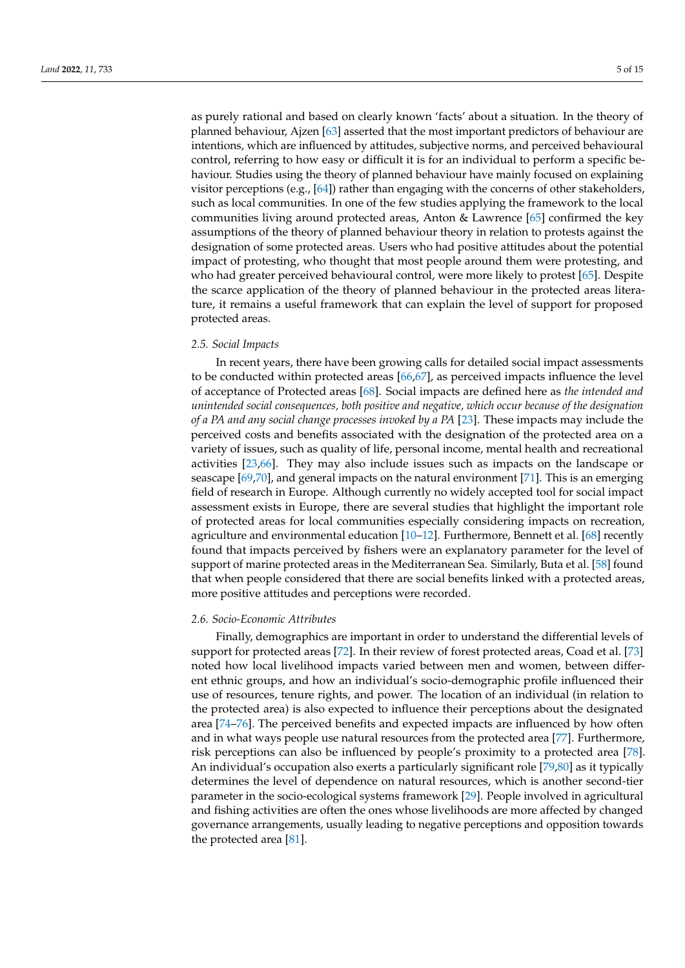as purely rational and based on clearly known 'facts' about a situation. In the theory of planned behaviour, Ajzen [\[63\]](#page-13-0) asserted that the most important predictors of behaviour are intentions, which are influenced by attitudes, subjective norms, and perceived behavioural control, referring to how easy or difficult it is for an individual to perform a specific behaviour. Studies using the theory of planned behaviour have mainly focused on explaining visitor perceptions (e.g.,  $[64]$ ) rather than engaging with the concerns of other stakeholders, such as local communities. In one of the few studies applying the framework to the local communities living around protected areas, Anton & Lawrence [\[65\]](#page-13-2) confirmed the key assumptions of the theory of planned behaviour theory in relation to protests against the designation of some protected areas. Users who had positive attitudes about the potential impact of protesting, who thought that most people around them were protesting, and who had greater perceived behavioural control, were more likely to protest [\[65\]](#page-13-2). Despite the scarce application of the theory of planned behaviour in the protected areas literature, it remains a useful framework that can explain the level of support for proposed protected areas.

#### *2.5. Social Impacts*

In recent years, there have been growing calls for detailed social impact assessments to be conducted within protected areas [\[66](#page-13-3)[,67\]](#page-13-4), as perceived impacts influence the level of acceptance of Protected areas [\[68\]](#page-13-5). Social impacts are defined here as *the intended and unintended social consequences, both positive and negative, which occur because of the designation of a PA and any social change processes invoked by a PA* [\[23\]](#page-11-8). These impacts may include the perceived costs and benefits associated with the designation of the protected area on a variety of issues, such as quality of life, personal income, mental health and recreational activities [\[23,](#page-11-8)[66\]](#page-13-3). They may also include issues such as impacts on the landscape or seascape [\[69](#page-13-6)[,70\]](#page-13-7), and general impacts on the natural environment [\[71\]](#page-13-8). This is an emerging field of research in Europe. Although currently no widely accepted tool for social impact assessment exists in Europe, there are several studies that highlight the important role of protected areas for local communities especially considering impacts on recreation, agriculture and environmental education [\[10–](#page-11-21)[12\]](#page-11-22). Furthermore, Bennett et al. [\[68\]](#page-13-5) recently found that impacts perceived by fishers were an explanatory parameter for the level of support of marine protected areas in the Mediterranean Sea. Similarly, Buta et al. [\[58\]](#page-12-22) found that when people considered that there are social benefits linked with a protected areas, more positive attitudes and perceptions were recorded.

#### *2.6. Socio-Economic Attributes*

Finally, demographics are important in order to understand the differential levels of support for protected areas [\[72\]](#page-13-9). In their review of forest protected areas, Coad et al. [\[73\]](#page-13-10) noted how local livelihood impacts varied between men and women, between different ethnic groups, and how an individual's socio-demographic profile influenced their use of resources, tenure rights, and power. The location of an individual (in relation to the protected area) is also expected to influence their perceptions about the designated area [\[74–](#page-13-11)[76\]](#page-13-12). The perceived benefits and expected impacts are influenced by how often and in what ways people use natural resources from the protected area [\[77\]](#page-13-13). Furthermore, risk perceptions can also be influenced by people's proximity to a protected area [\[78\]](#page-13-14). An individual's occupation also exerts a particularly significant role [\[79,](#page-13-15)[80\]](#page-13-16) as it typically determines the level of dependence on natural resources, which is another second-tier parameter in the socio-ecological systems framework [\[29\]](#page-11-14). People involved in agricultural and fishing activities are often the ones whose livelihoods are more affected by changed governance arrangements, usually leading to negative perceptions and opposition towards the protected area [\[81\]](#page-13-17).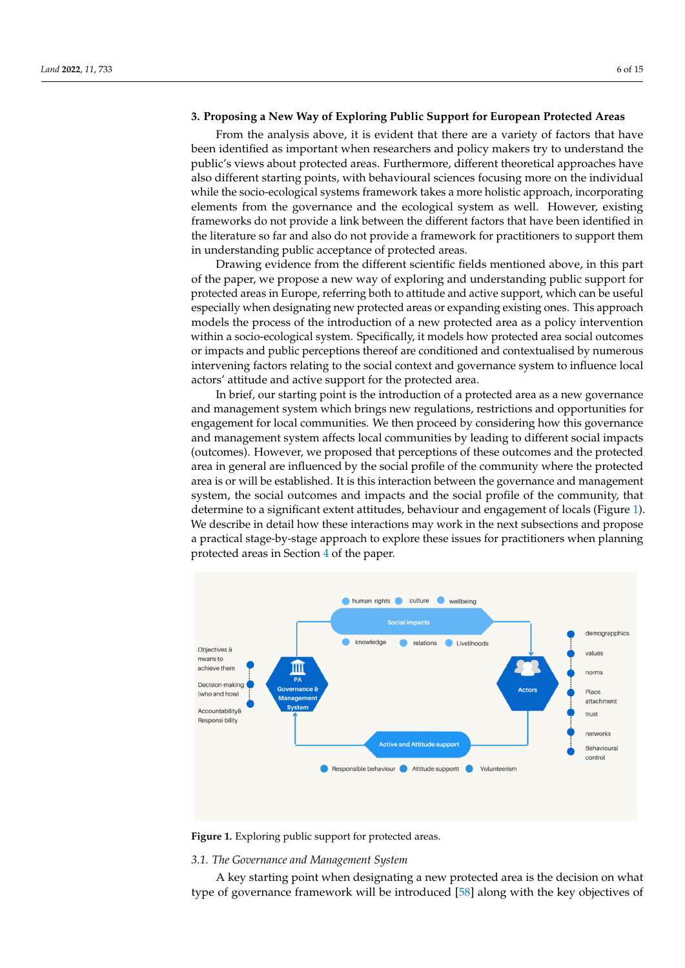#### **3. Proposing a New Way of Exploring Public Support for European Protected Areas**

From the analysis above, it is evident that there are a variety of factors that have been identified as important when researchers and policy makers try to understand the public's views about protected areas. Furthermore, different theoretical approaches have also different starting points, with behavioural sciences focusing more on the individual while the socio-ecological systems framework takes a more holistic approach, incorporating elements from the governance and the ecological system as well. However, existing frameworks do not provide a link between the different factors that have been identified in the literature so far and also do not provide a framework for practitioners to support them in understanding public acceptance of protected areas.

Drawing evidence from the different scientific fields mentioned above, in this part of the paper, we propose a new way of exploring and understanding public support for protected areas in Europe, referring both to attitude and active support, which can be useful especially when designating new protected areas or expanding existing ones. This approach models the process of the introduction of a new protected area as a policy intervention within a socio-ecological system. Specifically, it models how protected area social outcomes or impacts and public perceptions thereof are conditioned and contextualised by numerous intervening factors relating to the social context and governance system to influence local actors' attitude and active support for the protected area.

In brief, our starting point is the introduction of a protected area as a new governance and management system which brings new regulations, restrictions and opportunities for engagement for local communities. We then proceed by considering how this governance and management system affects local communities by leading to different social impacts (outcomes). However, we proposed that perceptions of these outcomes and the protected area in general are influenced by the social profile of the community where the protected area is or will be established. It is this interaction between the governance and management system, the social outcomes and impacts and the social profile of the community, that determine to a significant extent attitudes, behaviour and engagement of locals (Figure [1\)](#page-5-0). We describe in detail how these interactions may work in the next subsections and propose a practical stage-by-stage approach to explore these issues for practitioners when planning protected areas in Section [4](#page-7-0) of the paper.

<span id="page-5-0"></span>

**Figure 1.** Exploring public support for protected areas. **Figure 1.** Exploring public support for protected areas.

## *3.1. The Governance and Management System 3.1. The Governance and Management System*

A key starting point when designating a new protected area is the decision on what type of governance framework will be introduced [\[58\]](#page-12-22) along with the key objectives of $\mathbf{1}$  be introduced introduced  $\mathbf{5}$  and  $\mathbf{5}$  along with the key objectives of the key objectives of the key objectives of the key objectives of the key objectives of the key objectives of the key objectives of A key starting point when designating a new protected area is the decision on what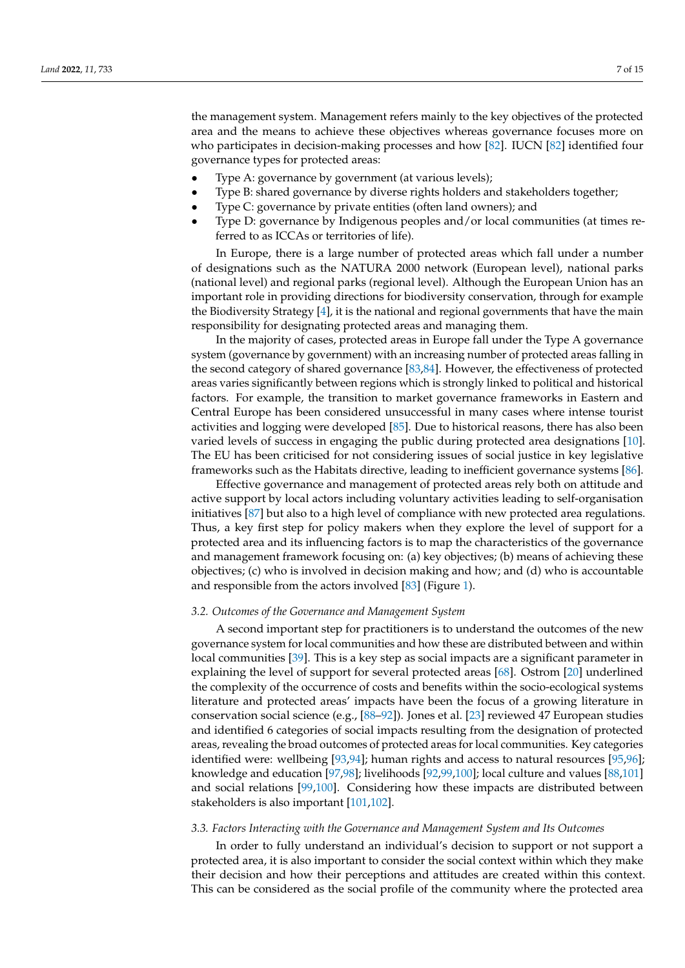the management system. Management refers mainly to the key objectives of the protected area and the means to achieve these objectives whereas governance focuses more on who participates in decision-making processes and how [\[82\]](#page-13-18). IUCN [\[82\]](#page-13-18) identified four governance types for protected areas:

- Type A: governance by government (at various levels);
- Type B: shared governance by diverse rights holders and stakeholders together;
- Type C: governance by private entities (often land owners); and
- Type D: governance by Indigenous peoples and/or local communities (at times referred to as ICCAs or territories of life).

In Europe, there is a large number of protected areas which fall under a number of designations such as the NATURA 2000 network (European level), national parks (national level) and regional parks (regional level). Although the European Union has an important role in providing directions for biodiversity conservation, through for example the Biodiversity Strategy  $[4]$ , it is the national and regional governments that have the main responsibility for designating protected areas and managing them.

In the majority of cases, protected areas in Europe fall under the Type A governance system (governance by government) with an increasing number of protected areas falling in the second category of shared governance [\[83,](#page-13-19)[84\]](#page-13-20). However, the effectiveness of protected areas varies significantly between regions which is strongly linked to political and historical factors. For example, the transition to market governance frameworks in Eastern and Central Europe has been considered unsuccessful in many cases where intense tourist activities and logging were developed [\[85\]](#page-13-21). Due to historical reasons, there has also been varied levels of success in engaging the public during protected area designations [\[10\]](#page-11-21). The EU has been criticised for not considering issues of social justice in key legislative frameworks such as the Habitats directive, leading to inefficient governance systems [\[86\]](#page-13-22).

Effective governance and management of protected areas rely both on attitude and active support by local actors including voluntary activities leading to self-organisation initiatives [\[87\]](#page-13-23) but also to a high level of compliance with new protected area regulations. Thus, a key first step for policy makers when they explore the level of support for a protected area and its influencing factors is to map the characteristics of the governance and management framework focusing on: (a) key objectives; (b) means of achieving these objectives; (c) who is involved in decision making and how; and (d) who is accountable and responsible from the actors involved [\[83\]](#page-13-19) (Figure [1\)](#page-5-0).

#### <span id="page-6-0"></span>*3.2. Outcomes of the Governance and Management System*

A second important step for practitioners is to understand the outcomes of the new governance system for local communities and how these are distributed between and within local communities [\[39\]](#page-12-3). This is a key step as social impacts are a significant parameter in explaining the level of support for several protected areas [\[68\]](#page-13-5). Ostrom [\[20\]](#page-11-5) underlined the complexity of the occurrence of costs and benefits within the socio-ecological systems literature and protected areas' impacts have been the focus of a growing literature in conservation social science (e.g., [\[88](#page-13-24)[–92\]](#page-14-0)). Jones et al. [\[23\]](#page-11-8) reviewed 47 European studies and identified 6 categories of social impacts resulting from the designation of protected areas, revealing the broad outcomes of protected areas for local communities. Key categories identified were: wellbeing [\[93](#page-14-1)[,94\]](#page-14-2); human rights and access to natural resources [\[95,](#page-14-3)[96\]](#page-14-4); knowledge and education [\[97](#page-14-5)[,98\]](#page-14-6); livelihoods [\[92](#page-14-0)[,99](#page-14-7)[,100\]](#page-14-8); local culture and values [\[88,](#page-13-24)[101\]](#page-14-9) and social relations [\[99,](#page-14-7)[100\]](#page-14-8). Considering how these impacts are distributed between stakeholders is also important [\[101,](#page-14-9)[102\]](#page-14-10).

#### *3.3. Factors Interacting with the Governance and Management System and Its Outcomes*

In order to fully understand an individual's decision to support or not support a protected area, it is also important to consider the social context within which they make their decision and how their perceptions and attitudes are created within this context. This can be considered as the social profile of the community where the protected area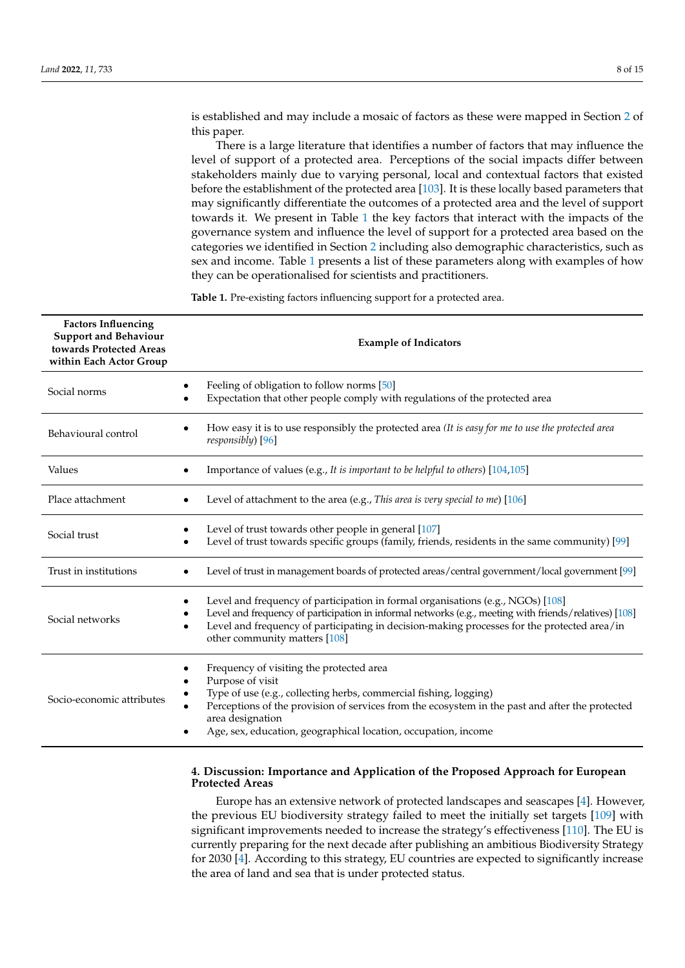There is a large literature that identifies a number of factors that may influence the level of support of a protected area. Perceptions of the social impacts differ between stakeholders mainly due to varying personal, local and contextual factors that existed before the establishment of the protected area [\[103\]](#page-14-11). It is these locally based parameters that may significantly differentiate the outcomes of a protected area and the level of support towards it. We present in Table [1](#page-7-1) the key factors that interact with the impacts of the governance system and influence the level of support for a protected area based on the categories we identified in Section [2](#page-2-0) including also demographic characteristics, such as sex and income. Table [1](#page-7-1) presents a list of these parameters along with examples of how they can be operationalised for scientists and practitioners.

<span id="page-7-1"></span>**Table 1.** Pre-existing factors influencing support for a protected area.

| <b>Factors Influencing</b><br><b>Support and Behaviour</b><br>towards Protected Areas<br>within Each Actor Group | <b>Example of Indicators</b>                                                                                                                                                                                                                                                                                               |
|------------------------------------------------------------------------------------------------------------------|----------------------------------------------------------------------------------------------------------------------------------------------------------------------------------------------------------------------------------------------------------------------------------------------------------------------------|
| Social norms                                                                                                     | Feeling of obligation to follow norms [50]<br>Expectation that other people comply with regulations of the protected area                                                                                                                                                                                                  |
| Behavioural control                                                                                              | How easy it is to use responsibly the protected area (It is easy for me to use the protected area<br>responsibly) [96]                                                                                                                                                                                                     |
| Values                                                                                                           | Importance of values (e.g., It is important to be helpful to others) [104,105]                                                                                                                                                                                                                                             |
| Place attachment                                                                                                 | Level of attachment to the area (e.g., This area is very special to me) [106]                                                                                                                                                                                                                                              |
| Social trust                                                                                                     | Level of trust towards other people in general [107]<br>Level of trust towards specific groups (family, friends, residents in the same community) [99]                                                                                                                                                                     |
| Trust in institutions                                                                                            | Level of trust in management boards of protected areas/central government/local government [99]                                                                                                                                                                                                                            |
| Social networks                                                                                                  | Level and frequency of participation in formal organisations (e.g., NGOs) [108]<br>Level and frequency of participation in informal networks (e.g., meeting with friends/relatives) [108]<br>Level and frequency of participating in decision-making processes for the protected area/in<br>other community matters [108]  |
| Socio-economic attributes                                                                                        | Frequency of visiting the protected area<br>Purpose of visit<br>Type of use (e.g., collecting herbs, commercial fishing, logging)<br>Perceptions of the provision of services from the ecosystem in the past and after the protected<br>area designation<br>Age, sex, education, geographical location, occupation, income |

### <span id="page-7-0"></span>**4. Discussion: Importance and Application of the Proposed Approach for European Protected Areas**

Europe has an extensive network of protected landscapes and seascapes [\[4\]](#page-10-3). However, the previous EU biodiversity strategy failed to meet the initially set targets [\[109\]](#page-14-17) with significant improvements needed to increase the strategy's effectiveness [\[110\]](#page-14-18). The EU is currently preparing for the next decade after publishing an ambitious Biodiversity Strategy for 2030 [\[4\]](#page-10-3). According to this strategy, EU countries are expected to significantly increase the area of land and sea that is under protected status.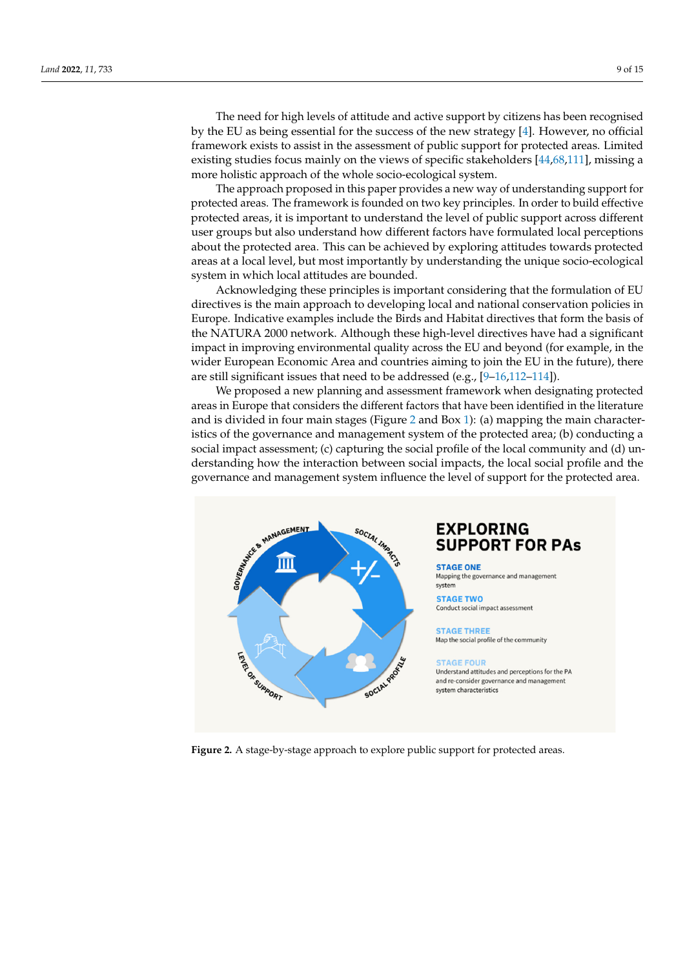The need for high levels of attitude and active support by citizens has been recognised by the EU as being essential for the success of the new strategy [\[4\]](#page-10-3). However, no official framework exists to assist in the assessment of public support for protected areas. Limited existing studies focus mainly on the views of specific stakeholders [\[44](#page-12-8)[,68](#page-13-5)[,111\]](#page-14-19), missing a more holistic approach of the whole socio-ecological system.

The approach proposed in this paper provides a new way of understanding support for protected areas. The framework is founded on two key principles. In order to build effective protected areas, it is important to understand the level of public support across different user groups but also understand how different factors have formulated local perceptions about the protected area. This can be achieved by exploring attitudes towards protected areas at a local level, but most importantly by understanding the unique socio-ecological system in which local attitudes are bounded.

Acknowledging these principles is important considering that the formulation of EU directives is the main approach to developing local and national conservation policies in Europe. Indicative examples include the Birds and Habitat directives that form the basis of the NATURA 2000 network. Although these high-level directives have had a significant impact in improving environmental quality across the EU and beyond (for example, in the wider European Economic Area and countries aiming to join the EU in the future), there are still significant issues that need to be addressed (e.g., [\[9](#page-11-23)[–16,](#page-11-1)[112–](#page-14-20)[114\]](#page-14-21)).

We proposed a new planning and assessment framework when designating protected areas in Europe that considers the different factors that have been identified in the literature and is divided in four main stages (Figure [2](#page-8-0) and Box [1\)](#page-9-0): (a) mapping the main characteristics of the governance and management system of the protected area; (b) conducting a social impact assessment; (c) capturing the social profile of the local community and (d) understanding how the interaction between social impacts, the local social profile and the governance and management system influence the level of support for the protected area.

<span id="page-8-0"></span>

## **EXPLORING SUPPORT FOR PAS**

**STAGE ONE** Mapping the governance and management system

**STAGE TWO** Conduct social impact assessment

#### **STAGE THREE** Map the social profile of the community

**STAGE FOUR** Understand attitudes and perceptions for the PA and re-consider governance and management system characteristics

**Figure 2.** A stage-by-stage approach to explore public support for protected areas. **Figure 2.** A stage-by-stage approach to explore public support for protected areas.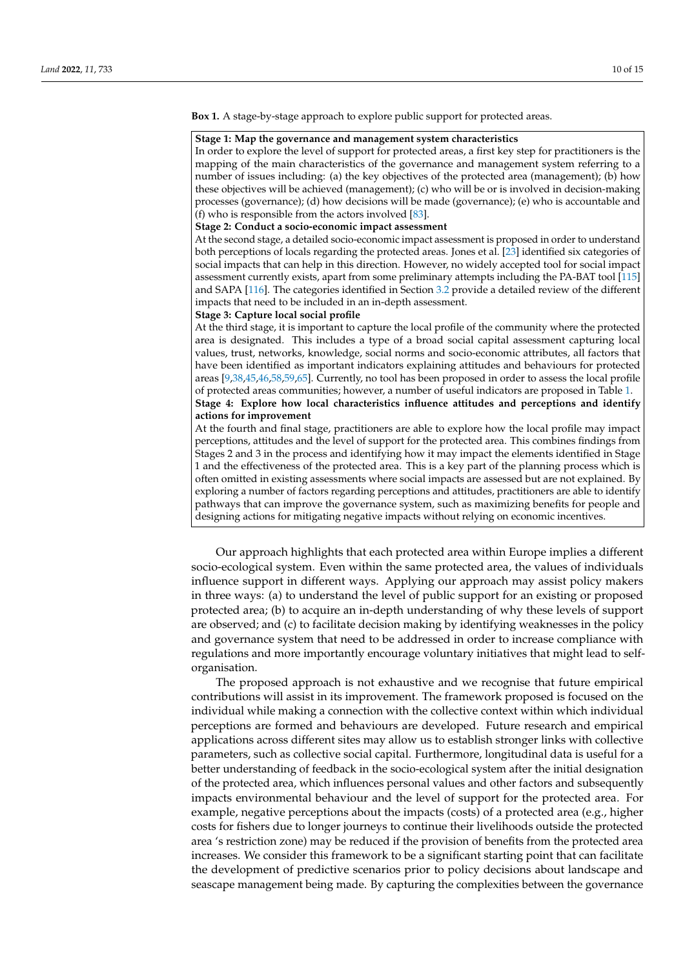<span id="page-9-0"></span>**Box 1.** A stage-by-stage approach to explore public support for protected areas.

#### **Stage 1: Map the governance and management system characteristics**

In order to explore the level of support for protected areas, a first key step for practitioners is the mapping of the main characteristics of the governance and management system referring to a number of issues including: (a) the key objectives of the protected area (management); (b) how these objectives will be achieved (management); (c) who will be or is involved in decision-making processes (governance); (d) how decisions will be made (governance); (e) who is accountable and (f) who is responsible from the actors involved [\[83\]](#page-13-19).

#### **Stage 2: Conduct a socio-economic impact assessment**

At the second stage, a detailed socio-economic impact assessment is proposed in order to understand both perceptions of locals regarding the protected areas. Jones et al. [\[23\]](#page-11-8) identified six categories of social impacts that can help in this direction. However, no widely accepted tool for social impact assessment currently exists, apart from some preliminary attempts including the PA-BAT tool [\[115\]](#page-14-22) and SAPA [\[116\]](#page-14-23). The categories identified in Section [3.2](#page-6-0) provide a detailed review of the different impacts that need to be included in an in-depth assessment.

#### **Stage 3: Capture local social profile**

At the third stage, it is important to capture the local profile of the community where the protected area is designated. This includes a type of a broad social capital assessment capturing local values, trust, networks, knowledge, social norms and socio-economic attributes, all factors that have been identified as important indicators explaining attitudes and behaviours for protected areas [\[9](#page-11-23)[,38](#page-12-2)[,45](#page-12-9)[,46,](#page-12-10)[58](#page-12-22)[,59](#page-12-23)[,65\]](#page-13-2). Currently, no tool has been proposed in order to assess the local profile of protected areas communities; however, a number of useful indicators are proposed in Table [1.](#page-7-1) **Stage 4: Explore how local characteristics influence attitudes and perceptions and identify actions for improvement**

At the fourth and final stage, practitioners are able to explore how the local profile may impact perceptions, attitudes and the level of support for the protected area. This combines findings from Stages 2 and 3 in the process and identifying how it may impact the elements identified in Stage 1 and the effectiveness of the protected area. This is a key part of the planning process which is often omitted in existing assessments where social impacts are assessed but are not explained. By exploring a number of factors regarding perceptions and attitudes, practitioners are able to identify pathways that can improve the governance system, such as maximizing benefits for people and designing actions for mitigating negative impacts without relying on economic incentives.

Our approach highlights that each protected area within Europe implies a different socio-ecological system. Even within the same protected area, the values of individuals influence support in different ways. Applying our approach may assist policy makers in three ways: (a) to understand the level of public support for an existing or proposed protected area; (b) to acquire an in-depth understanding of why these levels of support are observed; and (c) to facilitate decision making by identifying weaknesses in the policy and governance system that need to be addressed in order to increase compliance with regulations and more importantly encourage voluntary initiatives that might lead to selforganisation.

The proposed approach is not exhaustive and we recognise that future empirical contributions will assist in its improvement. The framework proposed is focused on the individual while making a connection with the collective context within which individual perceptions are formed and behaviours are developed. Future research and empirical applications across different sites may allow us to establish stronger links with collective parameters, such as collective social capital. Furthermore, longitudinal data is useful for a better understanding of feedback in the socio-ecological system after the initial designation of the protected area, which influences personal values and other factors and subsequently impacts environmental behaviour and the level of support for the protected area. For example, negative perceptions about the impacts (costs) of a protected area (e.g., higher costs for fishers due to longer journeys to continue their livelihoods outside the protected area 's restriction zone) may be reduced if the provision of benefits from the protected area increases. We consider this framework to be a significant starting point that can facilitate the development of predictive scenarios prior to policy decisions about landscape and seascape management being made. By capturing the complexities between the governance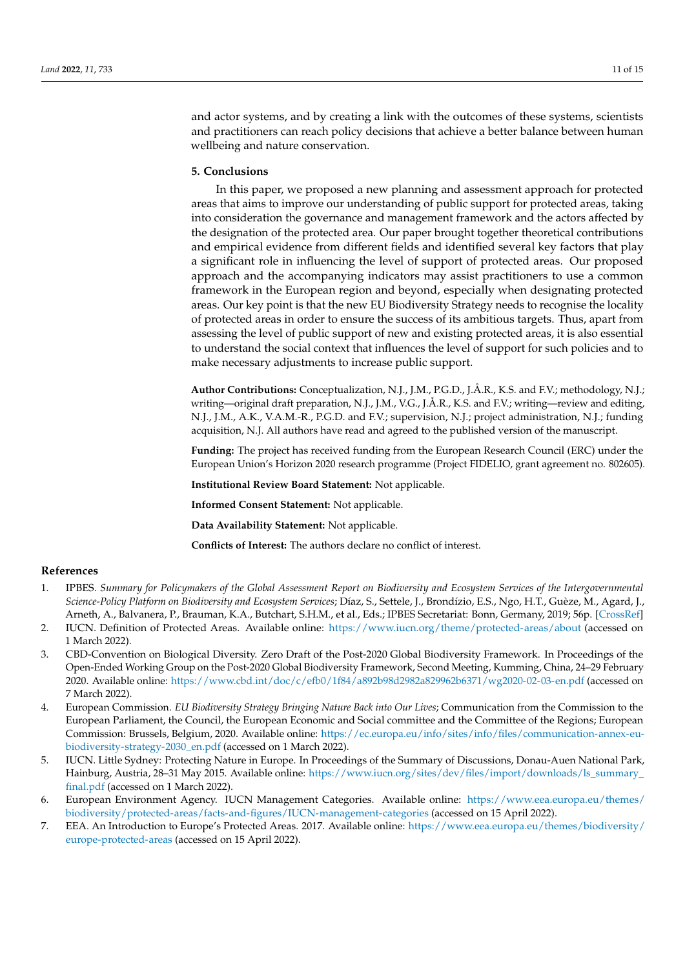and actor systems, and by creating a link with the outcomes of these systems, scientists and practitioners can reach policy decisions that achieve a better balance between human wellbeing and nature conservation.

#### **5. Conclusions**

In this paper, we proposed a new planning and assessment approach for protected areas that aims to improve our understanding of public support for protected areas, taking into consideration the governance and management framework and the actors affected by the designation of the protected area. Our paper brought together theoretical contributions and empirical evidence from different fields and identified several key factors that play a significant role in influencing the level of support of protected areas. Our proposed approach and the accompanying indicators may assist practitioners to use a common framework in the European region and beyond, especially when designating protected areas. Our key point is that the new EU Biodiversity Strategy needs to recognise the locality of protected areas in order to ensure the success of its ambitious targets. Thus, apart from assessing the level of public support of new and existing protected areas, it is also essential to understand the social context that influences the level of support for such policies and to make necessary adjustments to increase public support.

**Author Contributions:** Conceptualization, N.J., J.M., P.G.D., J.Å.R., K.S. and F.V.; methodology, N.J.; writing—original draft preparation, N.J., J.M., V.G., J.Å.R., K.S. and F.V.; writing—review and editing, N.J., J.M., A.K., V.A.M.-R., P.G.D. and F.V.; supervision, N.J.; project administration, N.J.; funding acquisition, N.J. All authors have read and agreed to the published version of the manuscript.

**Funding:** The project has received funding from the European Research Council (ERC) under the European Union's Horizon 2020 research programme (Project FIDELIO, grant agreement no. 802605).

**Institutional Review Board Statement:** Not applicable.

**Informed Consent Statement:** Not applicable.

**Data Availability Statement:** Not applicable.

**Conflicts of Interest:** The authors declare no conflict of interest.

#### **References**

- <span id="page-10-0"></span>1. IPBES. *Summary for Policymakers of the Global Assessment Report on Biodiversity and Ecosystem Services of the Intergovernmental Science-Policy Platform on Biodiversity and Ecosystem Services*; Díaz, S., Settele, J., Brondízio, E.S., Ngo, H.T., Guèze, M., Agard, J., Arneth, A., Balvanera, P., Brauman, K.A., Butchart, S.H.M., et al., Eds.; IPBES Secretariat: Bonn, Germany, 2019; 56p. [\[CrossRef\]](http://doi.org/10.5281/zenodo.3553579)
- <span id="page-10-1"></span>2. IUCN. Definition of Protected Areas. Available online: <https://www.iucn.org/theme/protected-areas/about> (accessed on 1 March 2022).
- <span id="page-10-2"></span>3. CBD-Convention on Biological Diversity. Zero Draft of the Post-2020 Global Biodiversity Framework. In Proceedings of the Open-Ended Working Group on the Post-2020 Global Biodiversity Framework, Second Meeting, Kumming, China, 24–29 February 2020. Available online: <https://www.cbd.int/doc/c/efb0/1f84/a892b98d2982a829962b6371/wg2020-02-03-en.pdf> (accessed on 7 March 2022).
- <span id="page-10-3"></span>4. European Commission. *EU Biodiversity Strategy Bringing Nature Back into Our Lives*; Communication from the Commission to the European Parliament, the Council, the European Economic and Social committee and the Committee of the Regions; European Commission: Brussels, Belgium, 2020. Available online: [https://ec.europa.eu/info/sites/info/files/communication-annex-eu](https://ec.europa.eu/info/sites/info/files/communication-annex-eu-biodiversity-strategy-2030_en.pdf)[biodiversity-strategy-2030\\_en.pdf](https://ec.europa.eu/info/sites/info/files/communication-annex-eu-biodiversity-strategy-2030_en.pdf) (accessed on 1 March 2022).
- <span id="page-10-4"></span>5. IUCN. Little Sydney: Protecting Nature in Europe. In Proceedings of the Summary of Discussions, Donau-Auen National Park, Hainburg, Austria, 28–31 May 2015. Available online: [https://www.iucn.org/sites/dev/files/import/downloads/ls\\_summary\\_](https://www.iucn.org/sites/dev/files/import/downloads/ls_summary_final.pdf) [final.pdf](https://www.iucn.org/sites/dev/files/import/downloads/ls_summary_final.pdf) (accessed on 1 March 2022).
- <span id="page-10-5"></span>6. European Environment Agency. IUCN Management Categories. Available online: [https://www.eea.europa.eu/themes/](https://www.eea.europa.eu/themes/biodiversity/protected-areas/facts-and-figures/IUCN-management-categories) [biodiversity/protected-areas/facts-and-figures/IUCN-management-categories](https://www.eea.europa.eu/themes/biodiversity/protected-areas/facts-and-figures/IUCN-management-categories) (accessed on 15 April 2022).
- <span id="page-10-6"></span>7. EEA. An Introduction to Europe's Protected Areas. 2017. Available online: [https://www.eea.europa.eu/themes/biodiversity/](https://www.eea.europa.eu/themes/biodiversity/europe-protected-areas) [europe-protected-areas](https://www.eea.europa.eu/themes/biodiversity/europe-protected-areas) (accessed on 15 April 2022).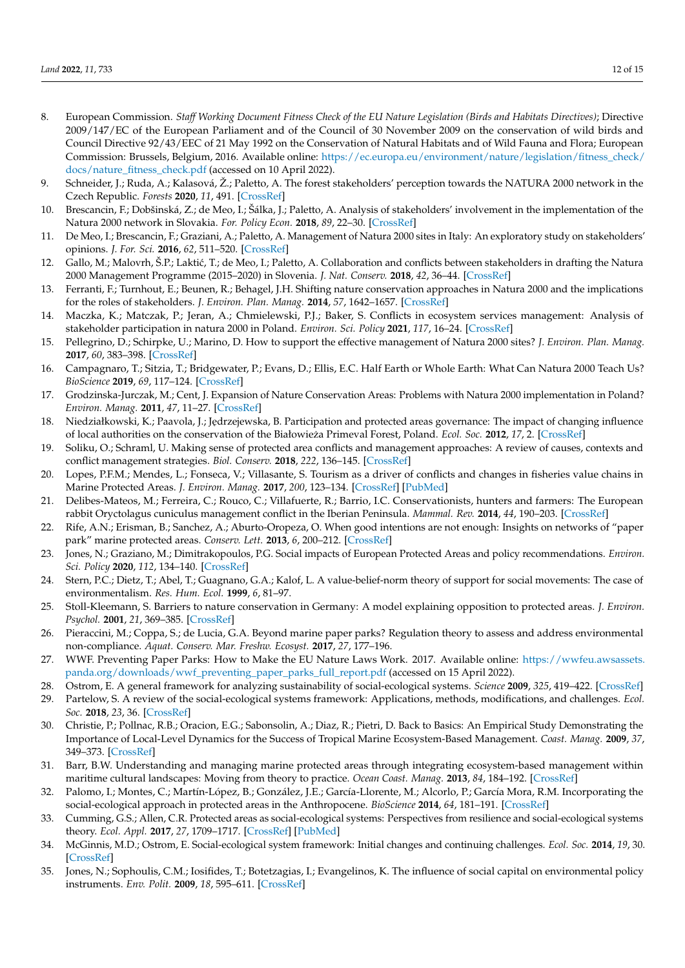- <span id="page-11-0"></span>8. European Commission. *Staff Working Document Fitness Check of the EU Nature Legislation (Birds and Habitats Directives)*; Directive 2009/147/EC of the European Parliament and of the Council of 30 November 2009 on the conservation of wild birds and Council Directive 92/43/EEC of 21 May 1992 on the Conservation of Natural Habitats and of Wild Fauna and Flora; European Commission: Brussels, Belgium, 2016. Available online: [https://ec.europa.eu/environment/nature/legislation/fitness\\_check/](https://ec.europa.eu/environment/nature/legislation/fitness_check/docs/nature_fitness_check.pdf) [docs/nature\\_fitness\\_check.pdf](https://ec.europa.eu/environment/nature/legislation/fitness_check/docs/nature_fitness_check.pdf) (accessed on 10 April 2022).
- <span id="page-11-23"></span>9. Schneider, J.; Ruda, A.; Kalasová, Ž.; Paletto, A. The forest stakeholders' perception towards the NATURA 2000 network in the Czech Republic. *Forests* **2020**, *11*, 491. [\[CrossRef\]](http://doi.org/10.3390/f11050491)
- <span id="page-11-21"></span>10. Brescancin, F.; Dobšinská, Z.; de Meo, I.; Šálka, J.; Paletto, A. Analysis of stakeholders' involvement in the implementation of the Natura 2000 network in Slovakia. *For. Policy Econ.* **2018**, *89*, 22–30. [\[CrossRef\]](http://doi.org/10.1016/j.forpol.2017.03.013)
- 11. De Meo, I.; Brescancin, F.; Graziani, A.; Paletto, A. Management of Natura 2000 sites in Italy: An exploratory study on stakeholders' opinions. *J. For. Sci.* **2016**, *62*, 511–520. [\[CrossRef\]](http://doi.org/10.17221/52/2016-JFS)
- <span id="page-11-22"></span>12. Gallo, M.; Malovrh, S.P.; Laktić, T.; de Meo, I.; Paletto, A. Collaboration and conflicts between stakeholders in drafting the Natura 2000 Management Programme (2015–2020) in Slovenia. *J. Nat. Conserv.* **2018**, *42*, 36–44. [\[CrossRef\]](http://doi.org/10.1016/j.jnc.2018.02.003)
- 13. Ferranti, F.; Turnhout, E.; Beunen, R.; Behagel, J.H. Shifting nature conservation approaches in Natura 2000 and the implications for the roles of stakeholders. *J. Environ. Plan. Manag.* **2014**, *57*, 1642–1657. [\[CrossRef\]](http://doi.org/10.1080/09640568.2013.827107)
- 14. Maczka, K.; Matczak, P.; Jeran, A.; Chmielewski, P.J.; Baker, S. Conflicts in ecosystem services management: Analysis of stakeholder participation in natura 2000 in Poland. *Environ. Sci. Policy* **2021**, *117*, 16–24. [\[CrossRef\]](http://doi.org/10.1016/j.envsci.2021.01.001)
- 15. Pellegrino, D.; Schirpke, U.; Marino, D. How to support the effective management of Natura 2000 sites? *J. Environ. Plan. Manag.* **2017**, *60*, 383–398. [\[CrossRef\]](http://doi.org/10.1080/09640568.2016.1159183)
- <span id="page-11-1"></span>16. Campagnaro, T.; Sitzia, T.; Bridgewater, P.; Evans, D.; Ellis, E.C. Half Earth or Whole Earth: What Can Natura 2000 Teach Us? *BioScience* **2019**, *69*, 117–124. [\[CrossRef\]](http://doi.org/10.1093/biosci/biy153)
- <span id="page-11-2"></span>17. Grodzinska-Jurczak, M.; Cent, J. Expansion of Nature Conservation Areas: Problems with Natura 2000 implementation in Poland? *Environ. Manag.* **2011**, *47*, 11–27. [\[CrossRef\]](http://doi.org/10.1007/s00267-010-9583-2)
- <span id="page-11-3"></span>18. Niedziałkowski, K.; Paavola, J.; Jędrzejewska, B. Participation and protected areas governance: The impact of changing influence of local authorities on the conservation of the Białowieza Primeval Forest, Poland. ˙ *Ecol. Soc.* **2012**, *17*, 2. [\[CrossRef\]](http://doi.org/10.5751/ES-04461-170102)
- <span id="page-11-4"></span>19. Soliku, O.; Schraml, U. Making sense of protected area conflicts and management approaches: A review of causes, contexts and conflict management strategies. *Biol. Conserv.* **2018**, *222*, 136–145. [\[CrossRef\]](http://doi.org/10.1016/j.biocon.2018.04.011)
- <span id="page-11-5"></span>20. Lopes, P.F.M.; Mendes, L.; Fonseca, V.; Villasante, S. Tourism as a driver of conflicts and changes in fisheries value chains in Marine Protected Areas. *J. Environ. Manag.* **2017**, *200*, 123–134. [\[CrossRef\]](http://doi.org/10.1016/j.jenvman.2017.05.080) [\[PubMed\]](http://www.ncbi.nlm.nih.gov/pubmed/28575780)
- <span id="page-11-6"></span>21. Delibes-Mateos, M.; Ferreira, C.; Rouco, C.; Villafuerte, R.; Barrio, I.C. Conservationists, hunters and farmers: The European rabbit Oryctolagus cuniculus management conflict in the Iberian Peninsula. *Mammal. Rev.* **2014**, *44*, 190–203. [\[CrossRef\]](http://doi.org/10.1111/mam.12022)
- <span id="page-11-7"></span>22. Rife, A.N.; Erisman, B.; Sanchez, A.; Aburto-Oropeza, O. When good intentions are not enough: Insights on networks of "paper park" marine protected areas. *Conserv. Lett.* **2013**, *6*, 200–212. [\[CrossRef\]](http://doi.org/10.1111/j.1755-263X.2012.00303.x)
- <span id="page-11-8"></span>23. Jones, N.; Graziano, M.; Dimitrakopoulos, P.G. Social impacts of European Protected Areas and policy recommendations. *Environ. Sci. Policy* **2020**, *112*, 134–140. [\[CrossRef\]](http://doi.org/10.1016/j.envsci.2020.06.004)
- <span id="page-11-9"></span>24. Stern, P.C.; Dietz, T.; Abel, T.; Guagnano, G.A.; Kalof, L. A value-belief-norm theory of support for social movements: The case of environmentalism. *Res. Hum. Ecol.* **1999**, *6*, 81–97.
- <span id="page-11-10"></span>25. Stoll-Kleemann, S. Barriers to nature conservation in Germany: A model explaining opposition to protected areas. *J. Environ. Psychol.* **2001**, *21*, 369–385. [\[CrossRef\]](http://doi.org/10.1006/jevp.2001.0228)
- <span id="page-11-11"></span>26. Pieraccini, M.; Coppa, S.; de Lucia, G.A. Beyond marine paper parks? Regulation theory to assess and address environmental non-compliance. *Aquat. Conserv. Mar. Freshw. Ecosyst.* **2017**, *27*, 177–196.
- <span id="page-11-12"></span>27. WWF. Preventing Paper Parks: How to Make the EU Nature Laws Work. 2017. Available online: [https://wwfeu.awsassets.](https://wwfeu.awsassets.panda.org/downloads/wwf_preventing_paper_parks_full_report.pdf) [panda.org/downloads/wwf\\_preventing\\_paper\\_parks\\_full\\_report.pdf](https://wwfeu.awsassets.panda.org/downloads/wwf_preventing_paper_parks_full_report.pdf) (accessed on 15 April 2022).
- <span id="page-11-13"></span>28. Ostrom, E. A general framework for analyzing sustainability of social-ecological systems. *Science* **2009**, *325*, 419–422. [\[CrossRef\]](http://doi.org/10.1126/science.1172133)
- <span id="page-11-14"></span>29. Partelow, S. A review of the social-ecological systems framework: Applications, methods, modifications, and challenges. *Ecol. Soc.* **2018**, *23*, 36. [\[CrossRef\]](http://doi.org/10.5751/ES-10594-230436)
- <span id="page-11-15"></span>30. Christie, P.; Pollnac, R.B.; Oracion, E.G.; Sabonsolin, A.; Diaz, R.; Pietri, D. Back to Basics: An Empirical Study Demonstrating the Importance of Local-Level Dynamics for the Success of Tropical Marine Ecosystem-Based Management. *Coast. Manag.* **2009**, *37*, 349–373. [\[CrossRef\]](http://doi.org/10.1080/08920750902851740)
- <span id="page-11-16"></span>31. Barr, B.W. Understanding and managing marine protected areas through integrating ecosystem-based management within maritime cultural landscapes: Moving from theory to practice. *Ocean Coast. Manag.* **2013**, *84*, 184–192. [\[CrossRef\]](http://doi.org/10.1016/j.ocecoaman.2013.08.011)
- <span id="page-11-17"></span>32. Palomo, I.; Montes, C.; Martín-López, B.; González, J.E.; García-Llorente, M.; Alcorlo, P.; García Mora, R.M. Incorporating the social-ecological approach in protected areas in the Anthropocene. *BioScience* **2014**, *64*, 181–191. [\[CrossRef\]](http://doi.org/10.1093/biosci/bit033)
- <span id="page-11-18"></span>33. Cumming, G.S.; Allen, C.R. Protected areas as social-ecological systems: Perspectives from resilience and social-ecological systems theory. *Ecol. Appl.* **2017**, *27*, 1709–1717. [\[CrossRef\]](http://doi.org/10.1002/eap.1584) [\[PubMed\]](http://www.ncbi.nlm.nih.gov/pubmed/28618079)
- <span id="page-11-19"></span>34. McGinnis, M.D.; Ostrom, E. Social-ecological system framework: Initial changes and continuing challenges. *Ecol. Soc.* **2014**, *19*, 30. [\[CrossRef\]](http://doi.org/10.5751/ES-06387-190230)
- <span id="page-11-20"></span>35. Jones, N.; Sophoulis, C.M.; Iosifides, T.; Botetzagias, I.; Evangelinos, K. The influence of social capital on environmental policy instruments. *Env. Polit.* **2009**, *18*, 595–611. [\[CrossRef\]](http://doi.org/10.1080/09644010903007443)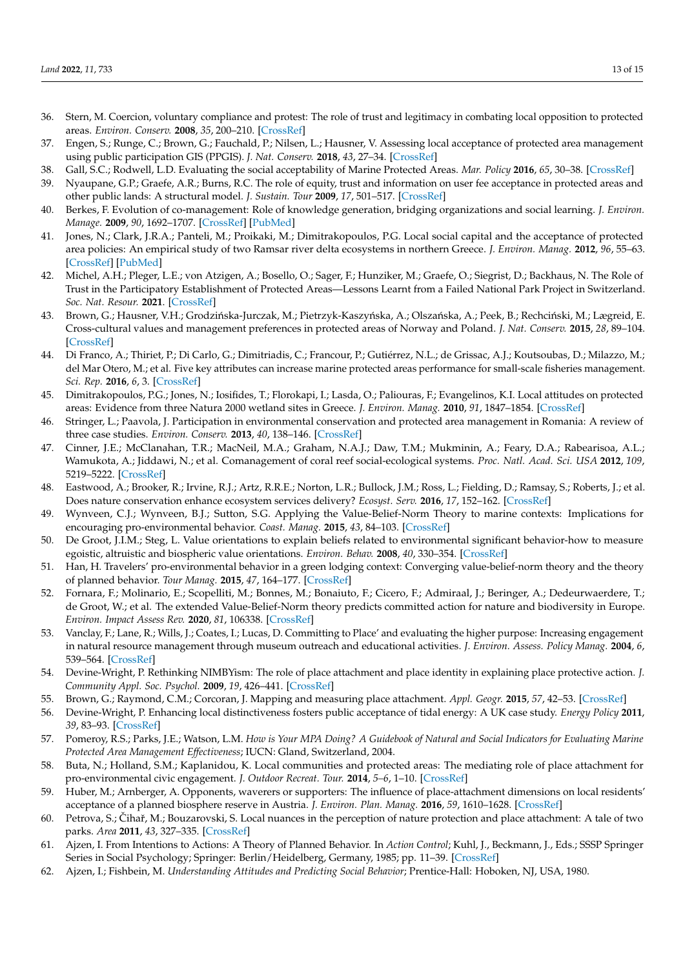- <span id="page-12-0"></span>36. Stern, M. Coercion, voluntary compliance and protest: The role of trust and legitimacy in combating local opposition to protected areas. *Environ. Conserv.* **2008**, *35*, 200–210. [\[CrossRef\]](http://doi.org/10.1017/S037689290800502X)
- <span id="page-12-1"></span>37. Engen, S.; Runge, C.; Brown, G.; Fauchald, P.; Nilsen, L.; Hausner, V. Assessing local acceptance of protected area management using public participation GIS (PPGIS). *J. Nat. Conserv.* **2018**, *43*, 27–34. [\[CrossRef\]](http://doi.org/10.1016/j.jnc.2017.12.002)
- <span id="page-12-2"></span>38. Gall, S.C.; Rodwell, L.D. Evaluating the social acceptability of Marine Protected Areas. *Mar. Policy* **2016**, *65*, 30–38. [\[CrossRef\]](http://doi.org/10.1016/j.marpol.2015.12.004)
- <span id="page-12-3"></span>39. Nyaupane, G.P.; Graefe, A.R.; Burns, R.C. The role of equity, trust and information on user fee acceptance in protected areas and other public lands: A structural model. *J. Sustain. Tour* **2009**, *17*, 501–517. [\[CrossRef\]](http://doi.org/10.1080/09669580802651699)
- <span id="page-12-4"></span>40. Berkes, F. Evolution of co-management: Role of knowledge generation, bridging organizations and social learning. *J. Environ. Manage.* **2009**, *90*, 1692–1707. [\[CrossRef\]](http://doi.org/10.1016/j.jenvman.2008.12.001) [\[PubMed\]](http://www.ncbi.nlm.nih.gov/pubmed/19110363)
- <span id="page-12-5"></span>41. Jones, N.; Clark, J.R.A.; Panteli, M.; Proikaki, M.; Dimitrakopoulos, P.G. Local social capital and the acceptance of protected area policies: An empirical study of two Ramsar river delta ecosystems in northern Greece. *J. Environ. Manag.* **2012**, *96*, 55–63. [\[CrossRef\]](http://doi.org/10.1016/j.jenvman.2011.10.012) [\[PubMed\]](http://www.ncbi.nlm.nih.gov/pubmed/22208398)
- <span id="page-12-6"></span>42. Michel, A.H.; Pleger, L.E.; von Atzigen, A.; Bosello, O.; Sager, F.; Hunziker, M.; Graefe, O.; Siegrist, D.; Backhaus, N. The Role of Trust in the Participatory Establishment of Protected Areas—Lessons Learnt from a Failed National Park Project in Switzerland. *Soc. Nat. Resour.* **2021**. [\[CrossRef\]](http://doi.org/10.1080/08941920.2021.1994679)
- <span id="page-12-7"></span>43. Brown, G.; Hausner, V.H.; Grodzińska-Jurczak, M.; Pietrzyk-Kaszyńska, A.; Olszańska, A.; Peek, B.; Rechciński, M.; Lægreid, E. Cross-cultural values and management preferences in protected areas of Norway and Poland. *J. Nat. Conserv.* **2015**, *28*, 89–104. [\[CrossRef\]](http://doi.org/10.1016/j.jnc.2015.09.006)
- <span id="page-12-8"></span>44. Di Franco, A.; Thiriet, P.; Di Carlo, G.; Dimitriadis, C.; Francour, P.; Gutiérrez, N.L.; de Grissac, A.J.; Koutsoubas, D.; Milazzo, M.; del Mar Otero, M.; et al. Five key attributes can increase marine protected areas performance for small-scale fisheries management. *Sci. Rep.* **2016**, *6*, 3. [\[CrossRef\]](http://doi.org/10.1038/srep38135)
- <span id="page-12-9"></span>45. Dimitrakopoulos, P.G.; Jones, N.; Iosifides, T.; Florokapi, I.; Lasda, O.; Paliouras, F.; Evangelinos, K.I. Local attitudes on protected areas: Evidence from three Natura 2000 wetland sites in Greece. *J. Environ. Manag.* **2010**, *91*, 1847–1854. [\[CrossRef\]](http://doi.org/10.1016/j.jenvman.2010.04.010)
- <span id="page-12-10"></span>46. Stringer, L.; Paavola, J. Participation in environmental conservation and protected area management in Romania: A review of three case studies. *Environ. Conserv.* **2013**, *40*, 138–146. [\[CrossRef\]](http://doi.org/10.1017/S0376892913000039)
- <span id="page-12-11"></span>47. Cinner, J.E.; McClanahan, T.R.; MacNeil, M.A.; Graham, N.A.J.; Daw, T.M.; Mukminin, A.; Feary, D.A.; Rabearisoa, A.L.; Wamukota, A.; Jiddawi, N.; et al. Comanagement of coral reef social-ecological systems. *Proc. Natl. Acad. Sci. USA* **2012**, *109*, 5219–5222. [\[CrossRef\]](http://doi.org/10.1073/pnas.1121215109)
- <span id="page-12-12"></span>48. Eastwood, A.; Brooker, R.; Irvine, R.J.; Artz, R.R.E.; Norton, L.R.; Bullock, J.M.; Ross, L.; Fielding, D.; Ramsay, S.; Roberts, J.; et al. Does nature conservation enhance ecosystem services delivery? *Ecosyst. Serv.* **2016**, *17*, 152–162. [\[CrossRef\]](http://doi.org/10.1016/j.ecoser.2015.12.001)
- <span id="page-12-13"></span>49. Wynveen, C.J.; Wynveen, B.J.; Sutton, S.G. Applying the Value-Belief-Norm Theory to marine contexts: Implications for encouraging pro-environmental behavior. *Coast. Manag.* **2015**, *43*, 84–103. [\[CrossRef\]](http://doi.org/10.1080/08920753.2014.989149)
- <span id="page-12-14"></span>50. De Groot, J.I.M.; Steg, L. Value orientations to explain beliefs related to environmental significant behavior-how to measure egoistic, altruistic and biospheric value orientations. *Environ. Behav.* **2008**, *40*, 330–354. [\[CrossRef\]](http://doi.org/10.1177/0013916506297831)
- <span id="page-12-15"></span>51. Han, H. Travelers' pro-environmental behavior in a green lodging context: Converging value-belief-norm theory and the theory of planned behavior. *Tour Manag.* **2015**, *47*, 164–177. [\[CrossRef\]](http://doi.org/10.1016/j.tourman.2014.09.014)
- <span id="page-12-16"></span>52. Fornara, F.; Molinario, E.; Scopelliti, M.; Bonnes, M.; Bonaiuto, F.; Cicero, F.; Admiraal, J.; Beringer, A.; Dedeurwaerdere, T.; de Groot, W.; et al. The extended Value-Belief-Norm theory predicts committed action for nature and biodiversity in Europe. *Environ. Impact Assess Rev.* **2020**, *81*, 106338. [\[CrossRef\]](http://doi.org/10.1016/j.eiar.2019.106338)
- <span id="page-12-17"></span>53. Vanclay, F.; Lane, R.; Wills, J.; Coates, I.; Lucas, D. Committing to Place' and evaluating the higher purpose: Increasing engagement in natural resource management through museum outreach and educational activities. *J. Environ. Assess. Policy Manag.* **2004**, *6*, 539–564. [\[CrossRef\]](http://doi.org/10.1142/S1464333204001791)
- <span id="page-12-18"></span>54. Devine-Wright, P. Rethinking NIMBYism: The role of place attachment and place identity in explaining place protective action. *J. Community Appl. Soc. Psychol.* **2009**, *19*, 426–441. [\[CrossRef\]](http://doi.org/10.1002/casp.1004)
- <span id="page-12-19"></span>55. Brown, G.; Raymond, C.M.; Corcoran, J. Mapping and measuring place attachment. *Appl. Geogr.* **2015**, *57*, 42–53. [\[CrossRef\]](http://doi.org/10.1016/j.apgeog.2014.12.011)
- <span id="page-12-20"></span>56. Devine-Wright, P. Enhancing local distinctiveness fosters public acceptance of tidal energy: A UK case study. *Energy Policy* **2011**, *39*, 83–93. [\[CrossRef\]](http://doi.org/10.1016/j.enpol.2010.09.012)
- <span id="page-12-21"></span>57. Pomeroy, R.S.; Parks, J.E.; Watson, L.M. *How is Your MPA Doing? A Guidebook of Natural and Social Indicators for Evaluating Marine Protected Area Management Effectiveness*; IUCN: Gland, Switzerland, 2004.
- <span id="page-12-22"></span>58. Buta, N.; Holland, S.M.; Kaplanidou, K. Local communities and protected areas: The mediating role of place attachment for pro-environmental civic engagement. *J. Outdoor Recreat. Tour.* **2014**, *5–6*, 1–10. [\[CrossRef\]](http://doi.org/10.1016/j.jort.2014.01.001)
- <span id="page-12-23"></span>59. Huber, M.; Arnberger, A. Opponents, waverers or supporters: The influence of place-attachment dimensions on local residents' acceptance of a planned biosphere reserve in Austria. *J. Environ. Plan. Manag.* **2016**, *59*, 1610–1628. [\[CrossRef\]](http://doi.org/10.1080/09640568.2015.1083415)
- <span id="page-12-24"></span>60. Petrova, S.; Cihař, M.; Bouzarovski, S. Local nuances in the perception of nature protection and place attachment: A tale of two parks. *Area* **2011**, *43*, 327–335. [\[CrossRef\]](http://doi.org/10.1111/j.1475-4762.2011.00995.x)
- <span id="page-12-25"></span>61. Ajzen, I. From Intentions to Actions: A Theory of Planned Behavior. In *Action Control*; Kuhl, J., Beckmann, J., Eds.; SSSP Springer Series in Social Psychology; Springer: Berlin/Heidelberg, Germany, 1985; pp. 11–39. [\[CrossRef\]](http://doi.org/10.1007/978-3-642-69746-3_2)
- <span id="page-12-26"></span>62. Ajzen, I.; Fishbein, M. *Understanding Attitudes and Predicting Social Behavior*; Prentice-Hall: Hoboken, NJ, USA, 1980.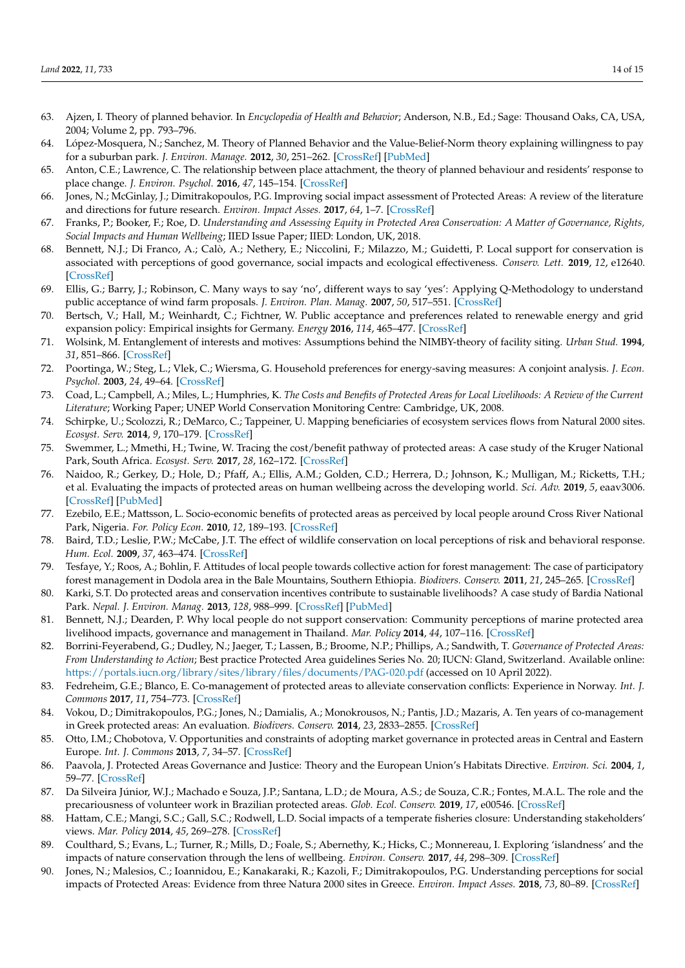- <span id="page-13-0"></span>63. Ajzen, I. Theory of planned behavior. In *Encyclopedia of Health and Behavior*; Anderson, N.B., Ed.; Sage: Thousand Oaks, CA, USA, 2004; Volume 2, pp. 793–796.
- <span id="page-13-1"></span>64. López-Mosquera, N.; Sanchez, M. Theory of Planned Behavior and the Value-Belief-Norm theory explaining willingness to pay for a suburban park. *J. Environ. Manage.* **2012**, *30*, 251–262. [\[CrossRef\]](http://doi.org/10.1016/j.jenvman.2012.08.029) [\[PubMed\]](http://www.ncbi.nlm.nih.gov/pubmed/23041517)
- <span id="page-13-2"></span>65. Anton, C.E.; Lawrence, C. The relationship between place attachment, the theory of planned behaviour and residents' response to place change. *J. Environ. Psychol.* **2016**, *47*, 145–154. [\[CrossRef\]](http://doi.org/10.1016/j.jenvp.2016.05.010)
- <span id="page-13-3"></span>66. Jones, N.; McGinlay, J.; Dimitrakopoulos, P.G. Improving social impact assessment of Protected Areas: A review of the literature and directions for future research. *Environ. Impact Asses.* **2017**, *64*, 1–7. [\[CrossRef\]](http://doi.org/10.1016/j.eiar.2016.12.007)
- <span id="page-13-4"></span>67. Franks, P.; Booker, F.; Roe, D. *Understanding and Assessing Equity in Protected Area Conservation: A Matter of Governance, Rights, Social Impacts and Human Wellbeing*; IIED Issue Paper; IIED: London, UK, 2018.
- <span id="page-13-5"></span>68. Bennett, N.J.; Di Franco, A.; Calò, A.; Nethery, E.; Niccolini, F.; Milazzo, M.; Guidetti, P. Local support for conservation is associated with perceptions of good governance, social impacts and ecological effectiveness. *Conserv. Lett.* **2019**, *12*, e12640. [\[CrossRef\]](http://doi.org/10.1111/conl.12640)
- <span id="page-13-6"></span>69. Ellis, G.; Barry, J.; Robinson, C. Many ways to say 'no', different ways to say 'yes': Applying Q-Methodology to understand public acceptance of wind farm proposals. *J. Environ. Plan. Manag.* **2007**, *50*, 517–551. [\[CrossRef\]](http://doi.org/10.1080/09640560701402075)
- <span id="page-13-7"></span>70. Bertsch, V.; Hall, M.; Weinhardt, C.; Fichtner, W. Public acceptance and preferences related to renewable energy and grid expansion policy: Empirical insights for Germany. *Energy* **2016**, *114*, 465–477. [\[CrossRef\]](http://doi.org/10.1016/j.energy.2016.08.022)
- <span id="page-13-8"></span>71. Wolsink, M. Entanglement of interests and motives: Assumptions behind the NIMBY-theory of facility siting. *Urban Stud.* **1994**, *31*, 851–866. [\[CrossRef\]](http://doi.org/10.1080/00420989420080711)
- <span id="page-13-9"></span>72. Poortinga, W.; Steg, L.; Vlek, C.; Wiersma, G. Household preferences for energy-saving measures: A conjoint analysis. *J. Econ. Psychol.* **2003**, *24*, 49–64. [\[CrossRef\]](http://doi.org/10.1016/S0167-4870(02)00154-X)
- <span id="page-13-10"></span>73. Coad, L.; Campbell, A.; Miles, L.; Humphries, K. *The Costs and Benefits of Protected Areas for Local Livelihoods: A Review of the Current Literature*; Working Paper; UNEP World Conservation Monitoring Centre: Cambridge, UK, 2008.
- <span id="page-13-11"></span>74. Schirpke, U.; Scolozzi, R.; DeMarco, C.; Tappeiner, U. Mapping beneficiaries of ecosystem services flows from Natural 2000 sites. *Ecosyst. Serv.* **2014**, *9*, 170–179. [\[CrossRef\]](http://doi.org/10.1016/j.ecoser.2014.06.003)
- 75. Swemmer, L.; Mmethi, H.; Twine, W. Tracing the cost/benefit pathway of protected areas: A case study of the Kruger National Park, South Africa. *Ecosyst. Serv.* **2017**, *28*, 162–172. [\[CrossRef\]](http://doi.org/10.1016/j.ecoser.2017.09.002)
- <span id="page-13-12"></span>76. Naidoo, R.; Gerkey, D.; Hole, D.; Pfaff, A.; Ellis, A.M.; Golden, C.D.; Herrera, D.; Johnson, K.; Mulligan, M.; Ricketts, T.H.; et al. Evaluating the impacts of protected areas on human wellbeing across the developing world. *Sci. Adv.* **2019**, *5*, eaav3006. [\[CrossRef\]](http://doi.org/10.1126/sciadv.aav3006) [\[PubMed\]](http://www.ncbi.nlm.nih.gov/pubmed/30949578)
- <span id="page-13-13"></span>77. Ezebilo, E.E.; Mattsson, L. Socio-economic benefits of protected areas as perceived by local people around Cross River National Park, Nigeria. *For. Policy Econ.* **2010**, *12*, 189–193. [\[CrossRef\]](http://doi.org/10.1016/j.forpol.2009.09.019)
- <span id="page-13-14"></span>78. Baird, T.D.; Leslie, P.W.; McCabe, J.T. The effect of wildlife conservation on local perceptions of risk and behavioral response. *Hum. Ecol.* **2009**, *37*, 463–474. [\[CrossRef\]](http://doi.org/10.1007/s10745-009-9264-z)
- <span id="page-13-15"></span>79. Tesfaye, Y.; Roos, A.; Bohlin, F. Attitudes of local people towards collective action for forest management: The case of participatory forest management in Dodola area in the Bale Mountains, Southern Ethiopia. *Biodivers. Conserv.* **2011**, *21*, 245–265. [\[CrossRef\]](http://doi.org/10.1007/s10531-011-0181-2)
- <span id="page-13-16"></span>80. Karki, S.T. Do protected areas and conservation incentives contribute to sustainable livelihoods? A case study of Bardia National Park. *Nepal. J. Environ. Manag.* **2013**, *128*, 988–999. [\[CrossRef\]](http://doi.org/10.1016/j.jenvman.2013.06.054) [\[PubMed\]](http://www.ncbi.nlm.nih.gov/pubmed/23895911)
- <span id="page-13-17"></span>81. Bennett, N.J.; Dearden, P. Why local people do not support conservation: Community perceptions of marine protected area livelihood impacts, governance and management in Thailand. *Mar. Policy* **2014**, *44*, 107–116. [\[CrossRef\]](http://doi.org/10.1016/j.marpol.2013.08.017)
- <span id="page-13-18"></span>82. Borrini-Feyerabend, G.; Dudley, N.; Jaeger, T.; Lassen, B.; Broome, N.P.; Phillips, A.; Sandwith, T. *Governance of Protected Areas: From Understanding to Action*; Best practice Protected Area guidelines Series No. 20; IUCN: Gland, Switzerland. Available online: <https://portals.iucn.org/library/sites/library/files/documents/PAG-020.pdf> (accessed on 10 April 2022).
- <span id="page-13-19"></span>83. Fedreheim, G.E.; Blanco, E. Co-management of protected areas to alleviate conservation conflicts: Experience in Norway. *Int. J. Commons* **2017**, *11*, 754–773. [\[CrossRef\]](http://doi.org/10.18352/ijc.749)
- <span id="page-13-20"></span>84. Vokou, D.; Dimitrakopoulos, P.G.; Jones, N.; Damialis, A.; Monokrousos, N.; Pantis, J.D.; Mazaris, A. Ten years of co-management in Greek protected areas: An evaluation. *Biodivers. Conserv.* **2014**, *23*, 2833–2855. [\[CrossRef\]](http://doi.org/10.1007/s10531-014-0751-1)
- <span id="page-13-21"></span>85. Otto, I.M.; Chobotova, V. Opportunities and constraints of adopting market governance in protected areas in Central and Eastern Europe. *Int. J. Commons* **2013**, *7*, 34–57. [\[CrossRef\]](http://doi.org/10.18352/ijc.366)
- <span id="page-13-22"></span>86. Paavola, J. Protected Areas Governance and Justice: Theory and the European Union's Habitats Directive. *Environ. Sci.* **2004**, *1*, 59–77. [\[CrossRef\]](http://doi.org/10.1076/evms.1.1.59.23763)
- <span id="page-13-23"></span>87. Da Silveira Júnior, W.J.; Machado e Souza, J.P.; Santana, L.D.; de Moura, A.S.; de Souza, C.R.; Fontes, M.A.L. The role and the precariousness of volunteer work in Brazilian protected areas. *Glob. Ecol. Conserv.* **2019**, *17*, e00546. [\[CrossRef\]](http://doi.org/10.1016/j.gecco.2019.e00546)
- <span id="page-13-24"></span>88. Hattam, C.E.; Mangi, S.C.; Gall, S.C.; Rodwell, L.D. Social impacts of a temperate fisheries closure: Understanding stakeholders' views. *Mar. Policy* **2014**, *45*, 269–278. [\[CrossRef\]](http://doi.org/10.1016/j.marpol.2013.09.005)
- 89. Coulthard, S.; Evans, L.; Turner, R.; Mills, D.; Foale, S.; Abernethy, K.; Hicks, C.; Monnereau, I. Exploring 'islandness' and the impacts of nature conservation through the lens of wellbeing. *Environ. Conserv.* **2017**, *44*, 298–309. [\[CrossRef\]](http://doi.org/10.1017/S0376892917000273)
- 90. Jones, N.; Malesios, C.; Ioannidou, E.; Kanakaraki, R.; Kazoli, F.; Dimitrakopoulos, P.G. Understanding perceptions for social impacts of Protected Areas: Evidence from three Natura 2000 sites in Greece. *Environ. Impact Asses.* **2018**, *73*, 80–89. [\[CrossRef\]](http://doi.org/10.1016/j.eiar.2018.07.006)